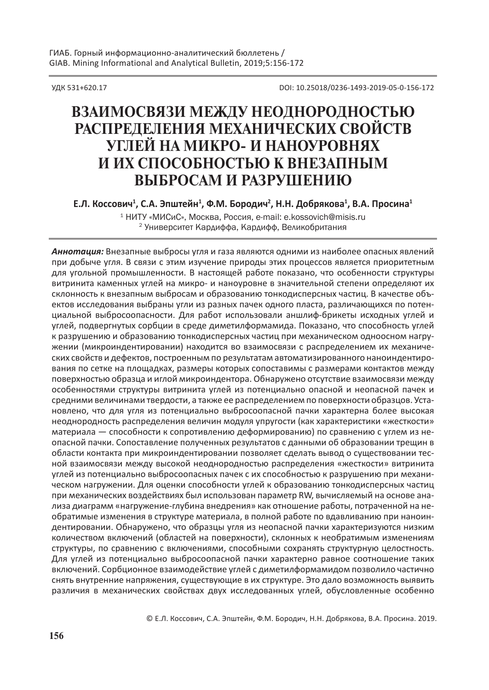УДК 531+620.17 DOI: 10.25018/0236-1493-2019-05-0-156-172

# **ВзаимосВязи между неоднородностью распределения механических сВойстВ углей на микро- и наноуроВнях и их способностью к Внезапным Выбросам и разрушению**

**Е.Л. Коссович<sup>1</sup> , С.А. Эпштейн<sup>1</sup> , Ф.М. Бородич<sup>2</sup> , Н.Н. Добрякова<sup>1</sup> , В.А. Просина<sup>1</sup>**

<sup>1</sup> НИТУ «МИСиС», Москва, Россия, e-mail: e.kossovich@misis.ru <sup>2</sup> Университет Кардиффа, Кардифф, Великобритания

*Аннотация:* Внезапные выбросы угля и газа являются одними из наиболее опасных явлений при добыче угля. В связи с этим изучение природы этих процессов является приоритетным для угольной промышленности. В настоящей работе показано, что особенности структуры витринита каменных углей на микро- и наноуровне в значительной степени определяют их склонность к внезапным выбросам и образованию тонкодисперсных частиц. В качестве объектов исследования выбраны угли из разных пачек одного пласта, различающихся по потенциальной выбросоопасности. Для работ использовали аншлиф-брикеты исходных углей и углей, подвергнутых сорбции в среде диметилформамида. Показано, что способность углей к разрушению и образованию тонкодисперсных частиц при механическом одноосном нагружении (микроиндентировании) находится во взаимосвязи с распределением их механических свойств и дефектов, построенным по результатам автоматизированного наноиндентирования по сетке на площадках, размеры которых сопоставимы с размерами контактов между поверхностью образца и иглой микроиндентора. Обнаружено отсутствие взаимосвязи между особенностями структуры витринита углей из потенциально опасной и неопасной пачек и средними величинами твердости, а также ее распределением по поверхности образцов. Установлено, что для угля из потенциально выбросоопасной пачки характерна более высокая неоднородность распределения величин модуля упругости (как характеристики «жесткости» материала — способности к сопротивлению деформированию) по сравнению с углем из неопасной пачки. Сопоставление полученных результатов с данными об образовании трещин в области контакта при микроиндентировании позволяет сделать вывод о существовании тесной взаимосвязи между высокой неоднородностью распределения «жесткости» витринита углей из потенциально выбросоопасных пачек с их способностью к разрушению при механическом нагружении. Для оценки способности углей к образованию тонкодисперсных частиц при механических воздействиях был использован параметр RW, вычисляемый на основе анализа диаграмм «нагружение-глубина внедрения» как отношение работы, потраченной на необратимые изменения в структуре материала, в полной работе по вдавливанию при наноиндентировании. Обнаружено, что образцы угля из неопасной пачки характеризуются низким количеством включений (областей на поверхности), склонных к необратимым изменениям структуры, по сравнению с включениями, способными сохранять структурную целостность. Для углей из потенциально выбросоопасной пачки характерно равное соотношение таких включений. Сорбционное взаимодействие углей с диметилформамидом позволило частично снять внутренние напряжения, существующие в их структуре. Это дало возможность выявить различия в механических свойствах двух исследованных углей, обусловленные особенно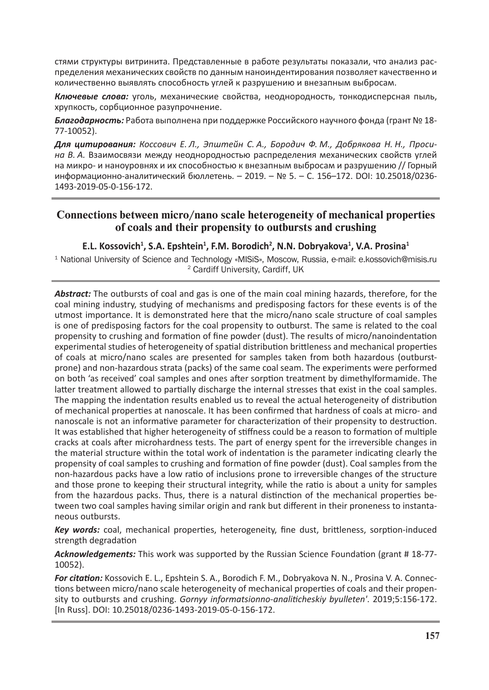стями структуры витринита. Представленные в работе результаты показали, что анализ распределения механических свойств по данным наноиндентирования позволяет качественно и количественно выявлять способность углей к разрушению и внезапным выбросам.

*Ключевые слова:* уголь, механические свойства, неоднородность, тонкодисперсная пыль, хрупкость, сорбционное разупрочнение.

*Благодарность:* Работа выполнена при поддержке Российского научного фонда (грант № 18- 77-10052).

*Для цитирования: Коссович Е. Л., Эпштейн С. А., Бородич Ф. М., Добрякова Н. Н., Просина В. А.* Взаимосвязи между неоднородностью распределения механических свойств углей на микро- и наноуровнях и их способностью к внезапным выбросам и разрушению // Горный информационно-аналитический бюллетень. – 2019. – № 5. – С. 156–172. DOI: 10.25018/0236- 1493-2019-05-0-156-172.

# **Connections between micro/nano scale heterogeneity of mechanical properties of coals and their propensity to outbursts and crushing**

# **E.L. Kossovich<sup>1</sup> , S.A. Epshtein<sup>1</sup> , F.M. Borodich<sup>2</sup> , N.N. Dobryakova<sup>1</sup> , V.A. Prosina<sup>1</sup>**

1 National University of Science and Technology «MISiS», Moscow, Russia, e-mail: e.kossovich@misis.ru <sup>2</sup> Cardiff University, Cardiff, UK

*Abstract:* The outbursts of coal and gas is one of the main coal mining hazards, therefore, for the coal mining industry, studying of mechanisms and predisposing factors for these events is of the utmost importance. It is demonstrated here that the micro/nano scale structure of coal samples is one of predisposing factors for the coal propensity to outburst. The same is related to the coal propensity to crushing and formation of fine powder (dust). The results of micro/nanoindentation experimental studies of heterogeneity of spatial distribution brittleness and mechanical properties of coals at micro/nano scales are presented for samples taken from both hazardous (outburstprone) and non-hazardous strata (packs) of the same coal seam. The experiments were performed on both 'as received' coal samples and ones after sorption treatment by dimethylformamide. The latter treatment allowed to partially discharge the internal stresses that exist in the coal samples. The mapping the indentation results enabled us to reveal the actual heterogeneity of distribution of mechanical properties at nanoscale. It has been confirmed that hardness of coals at micro- and nanoscale is not an informative parameter for characterization of their propensity to destruction. It was established that higher heterogeneity of stiffness could be a reason to formation of multiple cracks at coals after microhardness tests. The part of energy spent for the irreversible changes in the material structure within the total work of indentation is the parameter indicating clearly the propensity of coal samples to crushing and formation of fine powder (dust). Coal samples from the non-hazardous packs have a low ratio of inclusions prone to irreversible changes of the structure and those prone to keeping their structural integrity, while the ratio is about a unity for samples from the hazardous packs. Thus, there is a natural distinction of the mechanical properties between two coal samples having similar origin and rank but different in their proneness to instantaneous outbursts.

*Key words:* coal, mechanical properties, heterogeneity, fine dust, brittleness, sorption-induced strength degradation

*Acknowledgements:* This work was supported by the Russian Science Foundation (grant # 18-77- 10052).

*For citation:* Kossovich E. L., Epshtein S. A., Borodich F. M., Dobryakova N. N., Prosina V. A. Connections between micro/nano scale heterogeneity of mechanical properties of coals and their propensity to outbursts and crushing. *Gornyy informatsionno-analiticheskiy byulleten'*. 2019;5:156-172. [In Russ]. DOI: 10.25018/0236-1493-2019-05-0-156-172.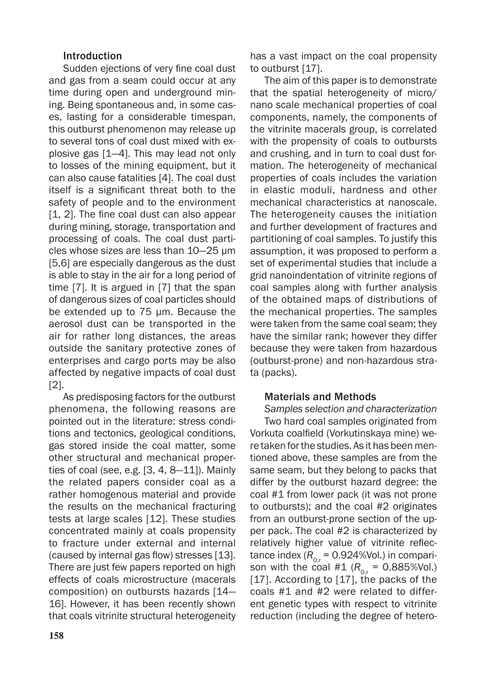## Introduction

Sudden ejections of very fine coal dust and gas from a seam could occur at any time during open and underground mining. Being spontaneous and, in some cases, lasting for a considerable timespan, this outburst phenomenon may release up to several tons of coal dust mixed with explosive gas [1—4]. This may lead not only to losses of the mining equipment, but it can also cause fatalities [4]. The coal dust itself is a significant threat both to the safety of people and to the environment [1, 2]. The fine coal dust can also appear during mining, storage, transportation and processing of coals. The coal dust particles whose sizes are less than 10—25 µm [5,6] are especially dangerous as the dust is able to stay in the air for a long period of time [7]. It is argued in [7] that the span of dangerous sizes of coal particles should be extended up to 75 µm. Because the aerosol dust can be transported in the air for rather long distances, the areas outside the sanitary protective zones of enterprises and cargo ports may be also affected by negative impacts of coal dust [2].

As predisposing factors for the outburst phenomena, the following reasons are pointed out in the literature: stress conditions and tectonics, geological conditions, gas stored inside the coal matter, some other structural and mechanical properties of coal (see, e.g. [3, 4, 8—11]). Mainly the related papers consider coal as a rather homogenous material and provide the results on the mechanical fracturing tests at large scales [12]. These studies concentrated mainly at coals propensity to fracture under external and internal (caused by internal gas flow) stresses [13]. There are just few papers reported on high effects of coals microstructure (macerals composition) on outbursts hazards [14— 16]. However, it has been recently shown that coals vitrinite structural heterogeneity has a vast impact on the coal propensity to outburst [17].

The aim of this paper is to demonstrate that the spatial heterogeneity of micro/ nano scale mechanical properties of coal components, namely, the components of the vitrinite macerals group, is correlated with the propensity of coals to outbursts and crushing, and in turn to coal dust formation. The heterogeneity of mechanical properties of coals includes the variation in elastic moduli, hardness and other mechanical characteristics at nanoscale. The heterogeneity causes the initiation and further development of fractures and partitioning of coal samples. To justify this assumption, it was proposed to perform a set of experimental studies that include a grid nanoindentation of vitrinite regions of coal samples along with further analysis of the obtained maps of distributions of the mechanical properties. The samples were taken from the same coal seam; they have the similar rank; however they differ because they were taken from hazardous (outburst-prone) and non-hazardous strata (packs).

## Materials and Methods

*Samples selection and characterization* Two hard coal samples originated from Vorkuta coalfield (Vorkutinskaya mine) were taken for the studies. As it has been mentioned above, these samples are from the same seam, but they belong to packs that differ by the outburst hazard degree: the coal #1 from lower pack (it was not prone to outbursts); and the coal #2 originates from an outburst-prone section of the upper pack. The coal #2 is characterized by relatively higher value of vitrinite reflectance index  $(R_{_{0,r}} = 0.924\%$ Vol.) in comparison with the coal  $#1 (R_{0,r} = 0.885\%)$ <sub>0</sub>. [17]. According to [17], the packs of the coals #1 and #2 were related to different genetic types with respect to vitrinite reduction (including the degree of hetero-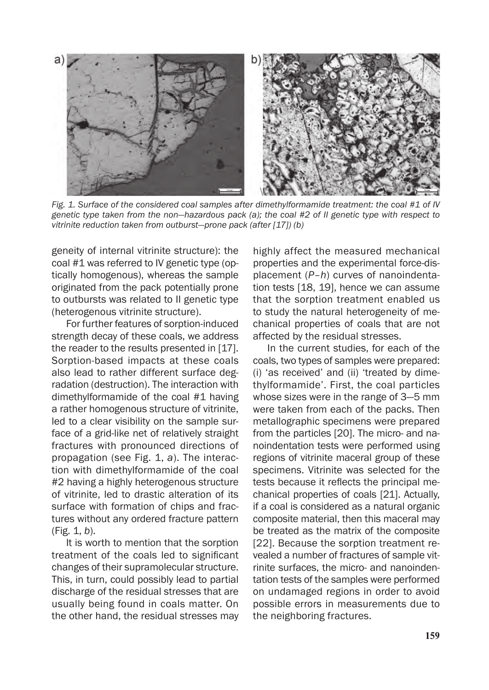

*Fig. 1. Surface of the considered coal samples after dimethylformamide treatment: the coal #1 of IV genetic type taken from the non—hazardous pack (a); the coal #2 of II genetic type with respect to vitrinite reduction taken from outburst—prone pack (after [17]) (b)*

geneity of internal vitrinite structure): the coal #1 was referred to IV genetic type (optically homogenous), whereas the sample originated from the pack potentially prone to outbursts was related to II genetic type (heterogenous vitrinite structure).

For further features of sorption-induced strength decay of these coals, we address the reader to the results presented in [17]. Sorption-based impacts at these coals also lead to rather different surface degradation (destruction). The interaction with dimethylformamide of the coal #1 having a rather homogenous structure of vitrinite, led to a clear visibility on the sample surface of a grid-like net of relatively straight fractures with pronounced directions of propagation (see Fig. 1, *a*). The interaction with dimethylformamide of the coal #2 having a highly heterogenous structure of vitrinite, led to drastic alteration of its surface with formation of chips and fractures without any ordered fracture pattern (Fig. 1, *b*).

It is worth to mention that the sorption treatment of the coals led to significant changes of their supramolecular structure. This, in turn, could possibly lead to partial discharge of the residual stresses that are usually being found in coals matter. On the other hand, the residual stresses may highly affect the measured mechanical properties and the experimental force-displacement (*P*–*h*) curves of nanoindentation tests [18, 19], hence we can assume that the sorption treatment enabled us to study the natural heterogeneity of mechanical properties of coals that are not affected by the residual stresses.

In the current studies, for each of the coals, two types of samples were prepared: (i) 'as received' and (ii) 'treated by dimethylformamide'. First, the coal particles whose sizes were in the range of 3—5 mm were taken from each of the packs. Then metallographic specimens were prepared from the particles [20]. The micro- and nanoindentation tests were performed using regions of vitrinite maceral group of these specimens. Vitrinite was selected for the tests because it reflects the principal mechanical properties of coals [21]. Actually, if a coal is considered as a natural organic composite material, then this maceral may be treated as the matrix of the composite [22]. Because the sorption treatment revealed a number of fractures of sample vitrinite surfaces, the micro- and nanoindentation tests of the samples were performed on undamaged regions in order to avoid possible errors in measurements due to the neighboring fractures.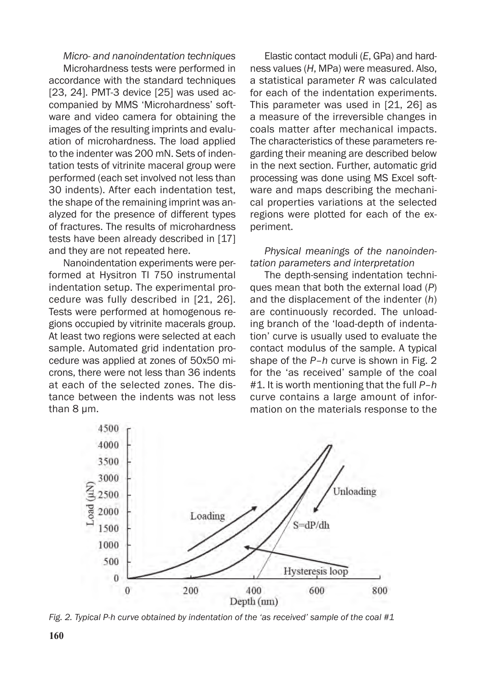### *Micro- and nanoindentation techniques*

Microhardness tests were performed in accordance with the standard techniques [23, 24]. PMT-3 device [25] was used accompanied by MMS 'Microhardness' software and video camera for obtaining the images of the resulting imprints and evaluation of microhardness. The load applied to the indenter was 200 mN. Sets of indentation tests of vitrinite maceral group were performed (each set involved not less than 30 indents). After each indentation test, the shape of the remaining imprint was analyzed for the presence of different types of fractures. The results of microhardness tests have been already described in [17] and they are not repeated here.

Nanoindentation experiments were performed at Hysitron TI 750 instrumental indentation setup. The experimental procedure was fully described in [21, 26]. Tests were performed at homogenous regions occupied by vitrinite macerals group. At least two regions were selected at each sample. Automated grid indentation procedure was applied at zones of 50x50 microns, there were not less than 36 indents at each of the selected zones. The distance between the indents was not less than 8 um.

Elastic contact moduli (*E*, GPa) and hardness values (*H*, MPa) were measured. Also, a statistical parameter *R* was calculated for each of the indentation experiments. This parameter was used in [21, 26] as a measure of the irreversible changes in coals matter after mechanical impacts. The characteristics of these parameters regarding their meaning are described below in the next section. Further, automatic grid processing was done using MS Excel software and maps describing the mechanical properties variations at the selected regions were plotted for each of the experiment.

## *Physical meanings of the nanoindentation parameters and interpretation*

The depth-sensing indentation techniques mean that both the external load (*P*) and the displacement of the indenter (*h*) are continuously recorded. The unloading branch of the 'load-depth of indentation' curve is usually used to evaluate the contact modulus of the sample. A typical shape of the *P*–*h* curve is shown in Fig. 2 for the 'as received' sample of the coal #1. It is worth mentioning that the full *P*–*h* curve contains a large amount of information on the materials response to the



*Fig. 2. Typical P-h curve obtained by indentation of the 'as received' sample of the coal #1*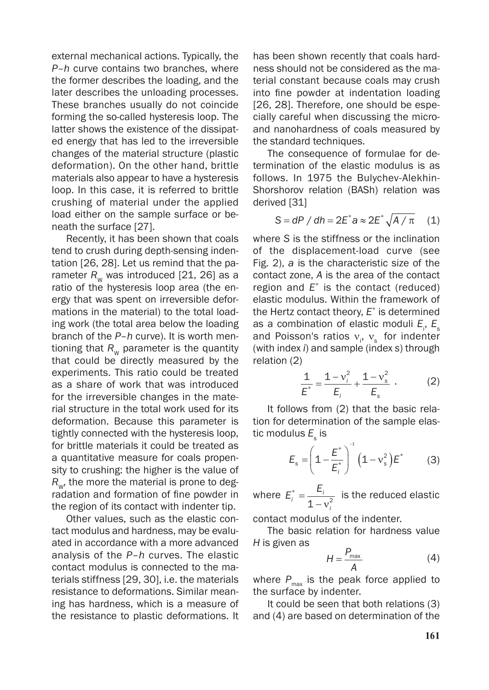external mechanical actions. Typically, the *P*–*h* curve contains two branches, where the former describes the loading, and the later describes the unloading processes. These branches usually do not coincide forming the so-called hysteresis loop. The latter shows the existence of the dissipated energy that has led to the irreversible changes of the material structure (plastic deformation). On the other hand, brittle materials also appear to have a hysteresis loop. In this case, it is referred to brittle crushing of material under the applied load either on the sample surface or beneath the surface [27].

Recently, it has been shown that coals tend to crush during depth-sensing indentation [26, 28]. Let us remind that the parameter  $R_{w}$  was introduced [21, 26] as a ratio of the hysteresis loop area (the energy that was spent on irreversible deformations in the material) to the total loading work (the total area below the loading branch of the *P*–*h* curve). It is worth mentioning that  $R_w$  parameter is the quantity that could be directly measured by the experiments. This ratio could be treated as a share of work that was introduced for the irreversible changes in the material structure in the total work used for its deformation. Because this parameter is tightly connected with the hysteresis loop, for brittle materials it could be treated as a quantitative measure for coals propensity to crushing: the higher is the value of  $R_{w}$ , the more the material is prone to degradation and formation of fine powder in the region of its contact with indenter tip.

Other values, such as the elastic contact modulus and hardness, may be evaluated in accordance with a more advanced analysis of the *P*–*h* curves. The elastic contact modulus is connected to the materials stiffness [29, 30], i.e. the materials resistance to deformations. Similar meaning has hardness, which is a measure of the resistance to plastic deformations. It has been shown recently that coals hardness should not be considered as the material constant because coals may crush into fine powder at indentation loading [26, 28]. Therefore, one should be especially careful when discussing the microand nanohardness of coals measured by the standard techniques.

The consequence of formulae for determination of the elastic modulus is as follows. In 1975 the Bulychev-Alekhin-Shorshorov relation (BASh) relation was derived [31]

$$
S = dP / dh = 2E^* a \approx 2E^* \sqrt{A/\pi} \quad (1)
$$

where *S* is the stiffness or the inclination of the displacement-load curve (see Fig. 2), *a* is the characteristic size of the contact zone, *A* is the area of the contact region and *E*\* is the contact (reduced) elastic modulus. Within the framework of the Hertz contact theory, *E*\* is determined as a combination of elastic moduli *E*<sub>i</sub>, *E*<sub>s</sub> and Poisson's ratios  $v_i$ ,  $v_s$  for indenter (with index *i*) and sample (index *s*) through relation (2)

$$
\frac{1}{E^*} = \frac{1 - v_i^2}{E_i} + \frac{1 - v_s^2}{E_s} \tag{2}
$$

It follows from (2) that the basic relation for determination of the sample elastic modulus  $E_{_{\mathrm{s}}}$  is

$$
E_{s} = \left(1 - \frac{E^{*}}{E_{i}^{*}}\right)^{-1} \left(1 - v_{s}^{2}\right) E^{*}
$$
 (3)

where  $E_i^* = \frac{E_i}{1}$ *i*  $i^* =$  $\frac{2i}{1-v_i^2}$  is the reduced elastic

contact modulus of the indenter.

The basic relation for hardness value *H* is given as

$$
H = \frac{P_{\text{max}}}{A} \tag{4}
$$

where  $P_{\text{max}}$  is the peak force applied to the surface by indenter.

It could be seen that both relations (3) and (4) are based on determination of the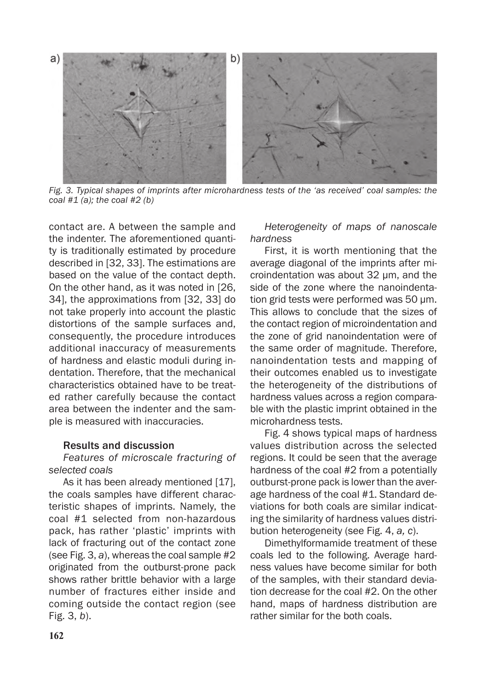

*Fig. 3. Typical shapes of imprints after microhardness tests of the 'as received' coal samples: the coal #1 (a); the coal #2 (b)*

contact are. A between the sample and the indenter. The aforementioned quantity is traditionally estimated by procedure described in [32, 33]. The estimations are based on the value of the contact depth. On the other hand, as it was noted in [26, 34], the approximations from [32, 33] do not take properly into account the plastic distortions of the sample surfaces and, consequently, the procedure introduces additional inaccuracy of measurements of hardness and elastic moduli during indentation. Therefore, that the mechanical characteristics obtained have to be treated rather carefully because the contact area between the indenter and the sample is measured with inaccuracies.

### Results and discussion

# *Features of microscale fracturing of selected coals*

As it has been already mentioned [17], the coals samples have different characteristic shapes of imprints. Namely, the coal #1 selected from non-hazardous pack, has rather 'plastic' imprints with lack of fracturing out of the contact zone (see Fig. 3, *a*), whereas the coal sample #2 originated from the outburst-prone pack shows rather brittle behavior with a large number of fractures either inside and coming outside the contact region (see Fig. 3, *b*).

*Heterogeneity of maps of nanoscale hardness*

First, it is worth mentioning that the average diagonal of the imprints after microindentation was about 32 µm, and the side of the zone where the nanoindentation grid tests were performed was 50 µm. This allows to conclude that the sizes of the contact region of microindentation and the zone of grid nanoindentation were of the same order of magnitude. Therefore, nanoindentation tests and mapping of their outcomes enabled us to investigate the heterogeneity of the distributions of hardness values across a region comparable with the plastic imprint obtained in the microhardness tests.

Fig. 4 shows typical maps of hardness values distribution across the selected regions. It could be seen that the average hardness of the coal #2 from a potentially outburst-prone pack is lower than the average hardness of the coal #1. Standard deviations for both coals are similar indicating the similarity of hardness values distribution heterogeneity (see Fig. 4, *a, c*).

Dimethylformamide treatment of these coals led to the following. Average hardness values have become similar for both of the samples, with their standard deviation decrease for the coal #2. On the other hand, maps of hardness distribution are rather similar for the both coals.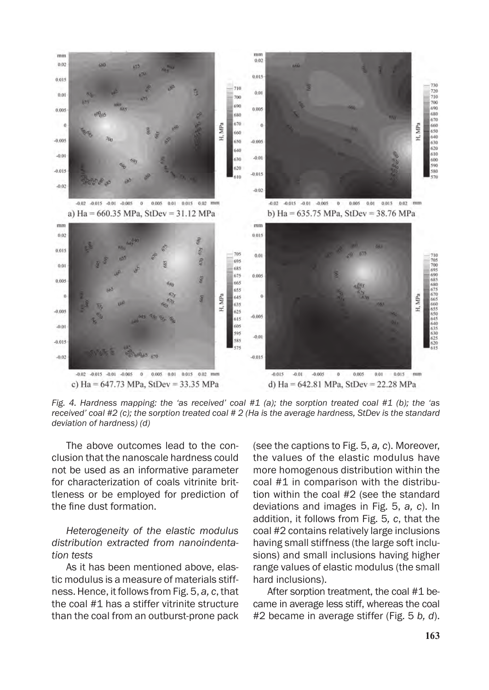

*Fig. 4. Hardness mapping: the 'as received' coal #1 (a); the sorption treated coal #1 (b); the 'as received' coal #2 (c); the sorption treated coal # 2 (Ha is the average hardness, StDev is the standard deviation of hardness) (d)*

The above outcomes lead to the conclusion that the nanoscale hardness could not be used as an informative parameter for characterization of coals vitrinite brittleness or be employed for prediction of the fine dust formation.

# *Heterogeneity of the elastic modulus distribution extracted from nanoindentation tests*

As it has been mentioned above, elastic modulus is a measure of materials stiffness. Hence, it follows from Fig. 5, *a, c*, that the coal #1 has a stiffer vitrinite structure than the coal from an outburst-prone pack (see the captions to Fig. 5, *a, c*). Moreover, the values of the elastic modulus have more homogenous distribution within the coal #1 in comparison with the distribution within the coal #2 (see the standard deviations and images in Fig. 5, *a, c*). In addition, it follows from Fig. 5*, c*, that the coal #2 contains relatively large inclusions having small stiffness (the large soft inclusions) and small inclusions having higher range values of elastic modulus (the small hard inclusions).

After sorption treatment, the coal #1 became in average less stiff, whereas the coal #2 became in average stiffer (Fig. 5 *b, d*).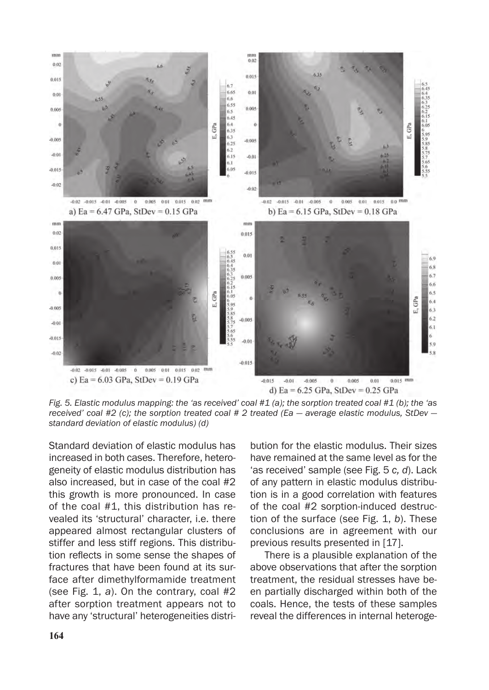

*Fig. 5. Elastic modulus mapping: the 'as received' coal #1 (a); the sorption treated coal #1 (b); the 'as received' coal #2 (c); the sorption treated coal # 2 treated (Ea — average elastic modulus, StDev standard deviation of elastic modulus) (d)*

Standard deviation of elastic modulus has increased in both cases. Therefore, heterogeneity of elastic modulus distribution has also increased, but in case of the coal #2 this growth is more pronounced. In case of the coal #1, this distribution has revealed its 'structural' character, i.e. there appeared almost rectangular clusters of stiffer and less stiff regions. This distribution reflects in some sense the shapes of fractures that have been found at its surface after dimethylformamide treatment (see Fig. 1, *a*). On the contrary, coal #2 after sorption treatment appears not to have any 'structural' heterogeneities distri-

bution for the elastic modulus. Their sizes have remained at the same level as for the 'as received' sample (see Fig. 5 *c, d*). Lack of any pattern in elastic modulus distribution is in a good correlation with features of the coal #2 sorption-induced destruction of the surface (see Fig. 1, *b*). These conclusions are in agreement with our previous results presented in [17].

There is a plausible explanation of the above observations that after the sorption treatment, the residual stresses have been partially discharged within both of the coals. Hence, the tests of these samples reveal the differences in internal heteroge-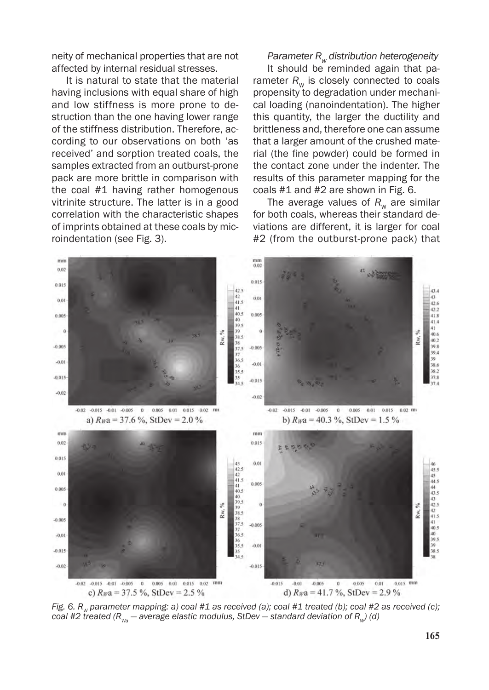neity of mechanical properties that are not affected by internal residual stresses.

It is natural to state that the material having inclusions with equal share of high and low stiffness is more prone to destruction than the one having lower range of the stiffness distribution. Therefore, according to our observations on both 'as received' and sorption treated coals, the samples extracted from an outburst-prone pack are more brittle in comparison with the coal #1 having rather homogenous vitrinite structure. The latter is in a good correlation with the characteristic shapes of imprints obtained at these coals by microindentation (see Fig. 3).

*Parameter R<sub>w</sub> distribution heterogeneity* 

It should be reminded again that parameter  $R_w$  is closely connected to coals propensity to degradation under mechanical loading (nanoindentation). The higher this quantity, the larger the ductility and brittleness and, therefore one can assume that a larger amount of the crushed material (the fine powder) could be formed in the contact zone under the indenter. The results of this parameter mapping for the coals #1 and #2 are shown in Fig. 6.

The average values of  $R_w$  are similar for both coals, whereas their standard deviations are different, it is larger for coal #2 (from the outburst-prone pack) that



*Fig. 6. R<sub>w</sub> parameter mapping: a) coal #1 as received (a); coal #1 treated (b); coal #2 as received (c); coal #2 treated (R<sub>Wa</sub> — average elastic modulus, StDev — standard deviation of R<sub>W</sub>) (d)*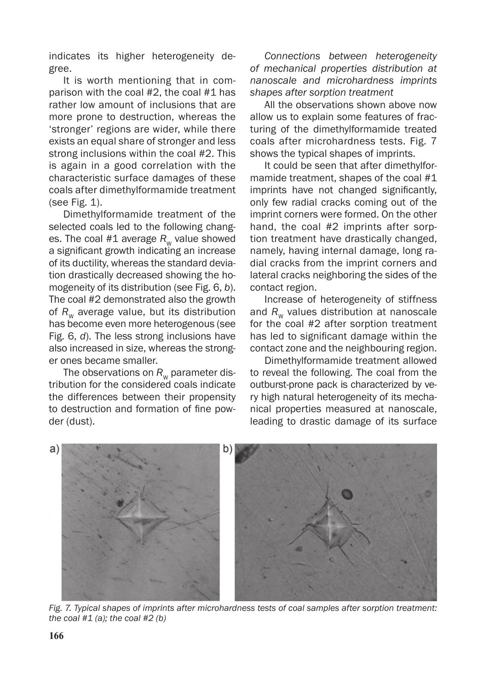indicates its higher heterogeneity degree.

It is worth mentioning that in comparison with the coal #2, the coal #1 has rather low amount of inclusions that are more prone to destruction, whereas the 'stronger' regions are wider, while there exists an equal share of stronger and less strong inclusions within the coal #2. This is again in a good correlation with the characteristic surface damages of these coals after dimethylformamide treatment (see Fig. 1).

Dimethylformamide treatment of the selected coals led to the following changes. The coal  $#1$  average  $R_w$  value showed a significant growth indicating an increase of its ductility, whereas the standard deviation drastically decreased showing the homogeneity of its distribution (see Fig. 6, *b*). The coal #2 demonstrated also the growth of  $R_w$  average value, but its distribution has become even more heterogenous (see Fig. 6, *d*). The less strong inclusions have also increased in size, whereas the stronger ones became smaller.

The observations on  $R_w$  parameter distribution for the considered coals indicate the differences between their propensity to destruction and formation of fine powder (dust).

*Connections between heterogeneity of mechanical properties distribution at nanoscale and microhardness imprints shapes after sorption treatment*

All the observations shown above now allow us to explain some features of fracturing of the dimethylformamide treated coals after microhardness tests. Fig. 7 shows the typical shapes of imprints.

It could be seen that after dimethylformamide treatment, shapes of the coal #1 imprints have not changed significantly, only few radial cracks coming out of the imprint corners were formed. On the other hand, the coal #2 imprints after sorption treatment have drastically changed, namely, having internal damage, long radial cracks from the imprint corners and lateral cracks neighboring the sides of the contact region.

Increase of heterogeneity of stiffness and  $R_{w}$  values distribution at nanoscale for the coal #2 after sorption treatment has led to significant damage within the contact zone and the neighbouring region.

Dimethylformamide treatment allowed to reveal the following. The coal from the outburst-prone pack is characterized by very high natural heterogeneity of its mechanical properties measured at nanoscale, leading to drastic damage of its surface



*Fig. 7. Typical shapes of imprints after microhardness tests of coal samples after sorption treatment: the coal #1 (a); the coal #2 (b)*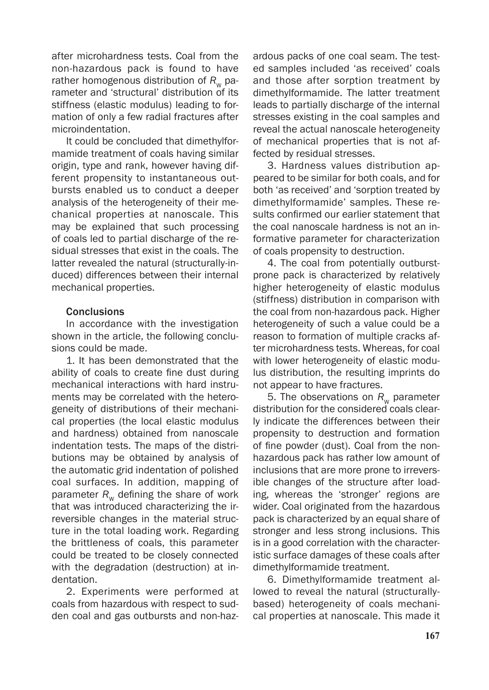after microhardness tests. Coal from the non-hazardous pack is found to have rather homogenous distribution of  $R_{w}$  parameter and 'structural' distribution of its stiffness (elastic modulus) leading to formation of only a few radial fractures after microindentation.

It could be concluded that dimethylformamide treatment of coals having similar origin, type and rank, however having different propensity to instantaneous outbursts enabled us to conduct a deeper analysis of the heterogeneity of their mechanical properties at nanoscale. This may be explained that such processing of coals led to partial discharge of the residual stresses that exist in the coals. The latter revealed the natural (structurally-induced) differences between their internal mechanical properties.

## **Conclusions**

In accordance with the investigation shown in the article, the following conclusions could be made.

1. It has been demonstrated that the ability of coals to create fine dust during mechanical interactions with hard instruments may be correlated with the heterogeneity of distributions of their mechanical properties (the local elastic modulus and hardness) obtained from nanoscale indentation tests. The maps of the distributions may be obtained by analysis of the automatic grid indentation of polished coal surfaces. In addition, mapping of parameter  $R_w$  defining the share of work that was introduced characterizing the irreversible changes in the material structure in the total loading work. Regarding the brittleness of coals, this parameter could be treated to be closely connected with the degradation (destruction) at indentation.

2. Experiments were performed at coals from hazardous with respect to sudden coal and gas outbursts and non-hazardous packs of one coal seam. The tested samples included 'as received' coals and those after sorption treatment by dimethylformamide. The latter treatment leads to partially discharge of the internal stresses existing in the coal samples and reveal the actual nanoscale heterogeneity of mechanical properties that is not affected by residual stresses.

3. Hardness values distribution appeared to be similar for both coals, and for both 'as received' and 'sorption treated by dimethylformamide' samples. These results confirmed our earlier statement that the coal nanoscale hardness is not an informative parameter for characterization of coals propensity to destruction.

4. The coal from potentially outburstprone pack is characterized by relatively higher heterogeneity of elastic modulus (stiffness) distribution in comparison with the coal from non-hazardous pack. Higher heterogeneity of such a value could be a reason to formation of multiple cracks after microhardness tests. Whereas, for coal with lower heterogeneity of elastic modulus distribution, the resulting imprints do not appear to have fractures.

5. The observations on  $R_{\rm w}$  parameter distribution for the considered coals clearly indicate the differences between their propensity to destruction and formation of fine powder (dust). Coal from the nonhazardous pack has rather low amount of inclusions that are more prone to irreversible changes of the structure after loading, whereas the 'stronger' regions are wider. Coal originated from the hazardous pack is characterized by an equal share of stronger and less strong inclusions. This is in a good correlation with the characteristic surface damages of these coals after dimethylformamide treatment.

6. Dimethylformamide treatment allowed to reveal the natural (structurallybased) heterogeneity of coals mechanical properties at nanoscale. This made it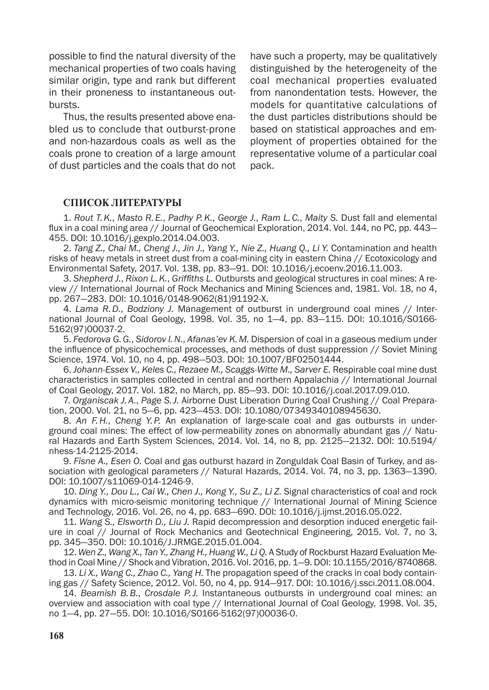possible to find the natural diversity of the mechanical properties of two coals having similar origin, type and rank but different in their proneness to instantaneous outbursts.

Thus, the results presented above enabled us to conclude that outburst-prone and non-hazardous coals as well as the coals prone to creation of a large amount of dust particles and the coals that do not have such a property, may be qualitatively distinguished by the heterogeneity of the coal mechanical properties evaluated from nanondentation tests. However, the models for quantitative calculations of the dust particles distributions should be based on statistical approaches and employment of properties obtained for the representative volume of a particular coal pack.

## **СПИСОК ЛИТЕРАТУРЫ**

1. *Rout T.K.*, *Masto R.E.*, *Padhy P.K.*, *George J.*, *Ram L.C.*, *Maity S.* Dust fall and elemental flux in a coal mining area // Journal of Geochemical Exploration, 2014. Vol. 144, no PC, pp. 443— 455. DOI: 10.1016/j.gexplo.2014.04.003.

2. *Tang Z., Chai M., Cheng J., Jin J., Yang Y., Nie Z., Huang Q., Li Y.* Contamination and health risks of heavy metals in street dust from a coal-mining city in eastern China // Ecotoxicology and Environmental Safety, 2017. Vol. 138, pp. 83—91. DOI: 10.1016/j.ecoenv.2016.11.003.

3. *Shepherd J.*, *Rixon L.K.*, *Griffiths L.* Outbursts and geological structures in coal mines: A review // International Journal of Rock Mechanics and Mining Sciences and, 1981. Vol. 18, no 4, pp. 267—283. DOI: 10.1016/0148-9062(81)91192-X.

4. *Lama R.D.*, *Bodziony J.* Management of outburst in underground coal mines // International Journal of Coal Geology, 1998. Vol. 35, no 1—4, pp. 83—115. DOI: 10.1016/S0166- 5162(97)00037-2.

5. *Fedorova G.G.*, *Sidorov I.N.*, *Afanas'ev K.M.* Dispersion of coal in a gaseous medium under the influence of physicochemical processes, and methods of dust suppression // Soviet Mining Science, 1974. Vol. 10, no 4, pp. 498—503. DOI: 10.1007/BF02501444.

6. *Johann-Essex V., Keles C., Rezaee M., Scaggs-Witte M., Sarver E.* Respirable coal mine dust characteristics in samples collected in central and northern Appalachia // International Journal of Coal Geology, 2017. Vol. 182, no March, pp. 85—93. DOI: 10.1016/j.coal.2017.09.010.

7. *Organiscak J.A.*, *Page S.J.* Airborne Dust Liberation During Coal Crushing // Coal Preparation, 2000. Vol. 21, no 5—6, pp. 423—453. DOI: 10.1080/07349340108945630.

8. *An F.H.*, *Cheng Y.P.* An explanation of large-scale coal and gas outbursts in underground coal mines: The effect of low-permeability zones on abnormally abundant gas // Natural Hazards and Earth System Sciences, 2014. Vol. 14, no 8, pp. 2125—2132. DOI: 10.5194/ nhess-14-2125-2014.

9. *Fisne A., Esen O.* Coal and gas outburst hazard in Zonguldak Coal Basin of Turkey, and association with geological parameters // Natural Hazards, 2014. Vol. 74, no 3, pp. 1363—1390. DOI: 10.1007/s11069-014-1246-9.

10. *Ding Y., Dou L., Cai W., Chen J., Kong Y., Su Z., Li Z.* Signal characteristics of coal and rock dynamics with micro-seismic monitoring technique // International Journal of Mining Science and Technology, 2016. Vol. 26, no 4, pp. 683—690. DOI: 10.1016/j.ijmst.2016.05.022.

11. *Wang S., Elsworth D., Liu J.* Rapid decompression and desorption induced energetic failure in coal // Journal of Rock Mechanics and Geotechnical Engineering, 2015. Vol. 7, no 3, pp. 345—350. DOI: 10.1016/J.JRMGE.2015.01.004.

12. *Wen Z., Wang X., Tan Y., Zhang H., Huang W., Li Q.* A Study of Rockburst Hazard Evaluation Method in Coal Mine // Shock and Vibration, 2016. Vol. 2016, pp. 1—9. DOI: 10.1155/2016/8740868.

13. *Li X., Wang C., Zhao C., Yang H.* The propagation speed of the cracks in coal body containing gas // Safety Science, 2012. Vol. 50, no 4, pp. 914—917. DOI: 10.1016/j.ssci.2011.08.004.

14. *Beamish B.B.*, *Crosdale P.J.* Instantaneous outbursts in underground coal mines: an overview and association with coal type // International Journal of Coal Geology, 1998. Vol. 35, no 1—4, pp. 27—55. DOI: 10.1016/S0166-5162(97)00036-0.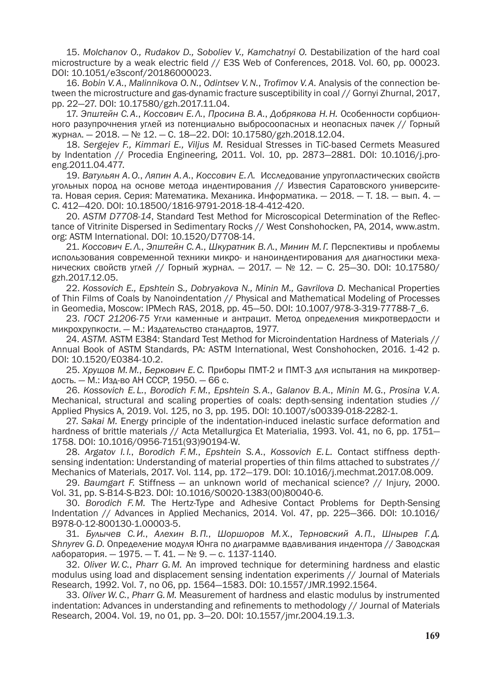15. *Molchanov O., Rudakov D., Soboliev V., Kamchatnyi O.* Destabilization of the hard coal microstructure by a weak electric field // E3S Web of Conferences, 2018. Vol. 60, pp. 00023. DOI: 10.1051/e3sconf/20186000023.

16. *Bobin V.A.*, *Malinnikova O.N.*, *Odintsev V.N.*, *Trofimov V.A.* Analysis of the connection between the microstructure and gas-dynamic fracture susceptibility in coal // Gornyi Zhurnal, 2017, pp. 22—27. DOI: 10.17580/gzh.2017.11.04.

17. *Эпштейн С.А.*, *Коссович Е.Л.*, *Просина В.А.*, *Добрякова Н.Н.* Особенности сорбционного разупрочнения углей из потенциально выбросоопасных и неопасных пачек // Горный журнал. — 2018. — № 12. — С. 18—22. DOI: 10.17580/gzh.2018.12.04.

18. *Sergejev F., Kimmari E., Viljus M.* Residual Stresses in TiC-based Cermets Measured by Indentation // Procedia Engineering, 2011. Vol. 10, pp. 2873—2881. DOI: 10.1016/j.proeng.2011.04.477.

19. *Ватульян А.О.*, *Ляпин А.А.*, *Коссович Е.Л.* Исследование упругопластических свойств угольных пород на основе метода индентирования // Известия Саратовского университета. Новая серия. Серия: Математика. Механика. Информатика. — 2018. — Т. 18. — вып. 4. — С. 412—420. DOI: 10.18500/1816-9791-2018-18-4-412-420.

20. *ASTM D7708-14*, Standard Test Method for Microscopical Determination of the Reflectance of Vitrinite Dispersed in Sedimentary Rocks // West Conshohocken, PA, 2014, www.astm. org: ASTM International. DOI: 10.1520/D7708-14.

21. *Коссович Е.Л.*, *Эпштейн С.А.*, *Шкуратник В.Л.*, *Минин М. Г.* Перспективы и проблемы использования современной техники микро- и наноиндентирования для диагностики механических свойств углей // Горный журнал. — 2017. — № 12. — С. 25—30. DOI: 10.17580/ gzh.2017.12.05.

22. *Kossovich E., Epshtein S., Dobryakova N., Minin M., Gavrilova D.* Mechanical Properties of Thin Films of Coals by Nanoindentation // Physical and Mathematical Modeling of Processes in Geomedia, Moscow: IPMech RAS, 2018, pp. 45—50. DOI: 10.1007/978-3-319-77788-7\_6.

23. *ГОСТ 21206-75* Угли каменные и антрацит. Метод определения микротвердости и микрохрупкости. — М.: Издательство стандартов, 1977.

24. *ASTM.* ASTM E384: Standard Test Method for Microindentation Hardness of Materials // Annual Book of ASTM Standards, PA: ASTM International, West Conshohocken, 2016. 1-42 p. DOI: 10.1520/E0384-10.2.

25. *Хрущов М.М.*, *Беркович Е.С.* Приборы ПМТ-2 и ПМТ-3 для испытания на микротвердость. — М.: Изд-во АН СССР, 1950. — 66 с.

26. *Kossovich E.L.*, *Borodich F.M.*, *Epshtein S.A.*, *Galanov B.A.*, *Minin M.G.*, *Prosina V.A.* Mechanical, structural and scaling properties of coals: depth-sensing indentation studies // Applied Physics A, 2019. Vol. 125, no 3, pp. 195. DOI: 10.1007/s00339-018-2282-1.

27. *Sakai M.* Energy principle of the indentation-induced inelastic surface deformation and hardness of brittle materials // Acta Metallurgica Et Materialia, 1993. Vol. 41, no 6, pp. 1751-1758. DOI: 10.1016/0956-7151(93)90194-W.

28. *Argatov I.I.*, *Borodich F.M.*, *Epshtein S.A.*, *Kossovich E.L.* Contact stiffness depthsensing indentation: Understanding of material properties of thin films attached to substrates // Mechanics of Materials, 2017. Vol. 114, pp. 172—179. DOI: 10.1016/j.mechmat.2017.08.009.

29. *Baumgart F.* Stiffness — an unknown world of mechanical science? // Injury, 2000. Vol. 31, pp. S-B14-S-B23. DOI: 10.1016/S0020-1383(00)80040-6.

30. *Borodich F.M.* The Hertz-Type and Adhesive Contact Problems for Depth-Sensing Indentation // Advances in Applied Mechanics, 2014. Vol. 47, pp. 225—366. DOI: 10.1016/ B978-0-12-800130-1.00003-5.

31. *Булычев С.И.*, *Алехин В.П.*, *Шоршоров М.Х.*, *Терновский А.П.*, *Шнырев Г.Д. Shnyrev G.D.* Определение модуля Юнга по диаграмме вдавливания индентора // Заводская лаборатория. — 1975. — Т. 41. — № 9. — с. 1137-1140.

32. *Oliver W.C.*, *Pharr G.M.* An improved technique for determining hardness and elastic modulus using load and displacement sensing indentation experiments // Journal of Materials Research, 1992. Vol. 7, no 06, pp. 1564—1583. DOI: 10.1557/JMR.1992.1564.

33. *Oliver W.C.*, *Pharr G.M.* Measurement of hardness and elastic modulus by instrumented indentation: Advances in understanding and refinements to methodology // Journal of Materials Research, 2004. Vol. 19, no 01, pp. 3—20. DOI: 10.1557/jmr.2004.19.1.3.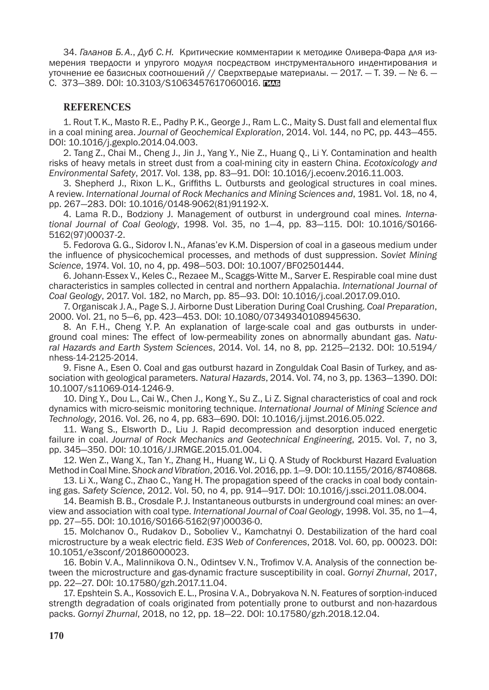34. *Галанов Б.А.*, *Дуб С.Н.* Критические комментарии к методике Оливера-Фара для измерения твердости и упругого модуля посредством инструментального индентирования и уточнение ее базисных соотношений // Сверхтвердые материалы. — 2017. — Т. 39. — № 6. — С. 373-389. DOI: 10.3103/S1063457617060016.

#### **REFERENCES**

1. Rout T.K., Masto R.E., Padhy P.K., George J., Ram L.C., Maity S. Dust fall and elemental flux in a coal mining area. *Journal of Geochemical Exploration*, 2014. Vol. 144, no PC, pp. 443—455. DOI: 10.1016/j.gexplo.2014.04.003.

2. Tang Z., Chai M., Cheng J., Jin J., Yang Y., Nie Z., Huang Q., Li Y. Contamination and health risks of heavy metals in street dust from a coal-mining city in eastern China. *Ecotoxicology and Environmental Safety*, 2017. Vol. 138, pp. 83—91. DOI: 10.1016/j.ecoenv.2016.11.003.

3. Shepherd J., Rixon L.K., Griffiths L. Outbursts and geological structures in coal mines. A review. *International Journal of Rock Mechanics and Mining Sciences and*, 1981. Vol. 18, no 4, pp. 267—283. DOI: 10.1016/0148-9062(81)91192-X.

4. Lama R.D., Bodziony J. Management of outburst in underground coal mines. *International Journal of Coal Geology*, 1998. Vol. 35, no 1—4, pp. 83—115. DOI: 10.1016/S0166- 5162(97)00037-2.

5. Fedorova G.G., Sidorov I.N., Afanas'ev K.M. Dispersion of coal in a gaseous medium under the influence of physicochemical processes, and methods of dust suppression. *Soviet Mining Science*, 1974. Vol. 10, no 4, pp. 498—503. DOI: 10.1007/BF02501444.

6. Johann-Essex V., Keles C., Rezaee M., Scaggs-Witte M., Sarver E. Respirable coal mine dust characteristics in samples collected in central and northern Appalachia. *International Journal of Coal Geology*, 2017. Vol. 182, no March, pp. 85—93. DOI: 10.1016/j.coal.2017.09.010.

7. Organiscak J.A., Page S.J. Airborne Dust Liberation During Coal Crushing. *Coal Preparation*, 2000. Vol. 21, no 5—6, pp. 423—453. DOI: 10.1080/07349340108945630.

8. An F.H., Cheng Y.P. An explanation of large-scale coal and gas outbursts in underground coal mines: The effect of low-permeability zones on abnormally abundant gas. *Natural Hazards and Earth System Sciences*, 2014. Vol. 14, no 8, pp. 2125—2132. DOI: 10.5194/ nhess-14-2125-2014.

9. Fisne A., Esen O. Coal and gas outburst hazard in Zonguldak Coal Basin of Turkey, and association with geological parameters. *Natural Hazards*, 2014. Vol. 74, no 3, pp. 1363—1390. DOI: 10.1007/s11069-014-1246-9.

10. Ding Y., Dou L., Cai W., Chen J., Kong Y., Su Z., Li Z. Signal characteristics of coal and rock dynamics with micro-seismic monitoring technique. *International Journal of Mining Science and Technology*, 2016. Vol. 26, no 4, pp. 683—690. DOI: 10.1016/j.ijmst.2016.05.022.

11. Wang S., Elsworth D., Liu J. Rapid decompression and desorption induced energetic failure in coal. *Journal of Rock Mechanics and Geotechnical Engineering*, 2015. Vol. 7, no 3, pp. 345—350. DOI: 10.1016/J.JRMGE.2015.01.004.

12. Wen Z., Wang X., Tan Y., Zhang H., Huang W., Li Q. A Study of Rockburst Hazard Evaluation Method in Coal Mine. *Shock and Vibration*, 2016. Vol.2016, pp.1—9. DOI: 10.1155/2016/8740868.

13. Li X., Wang C., Zhao C., Yang H. The propagation speed of the cracks in coal body containing gas. *Safety Science*, 2012. Vol. 50, no 4, pp. 914—917. DOI: 10.1016/j.ssci.2011.08.004.

14. Beamish B.B., Crosdale P.J. Instantaneous outbursts in underground coal mines: an overview and association with coal type. *International Journal of Coal Geology*, 1998. Vol. 35, no 1—4, pp. 27—55. DOI: 10.1016/S0166-5162(97)00036-0.

15. Molchanov O., Rudakov D., Soboliev V., Kamchatnyi O. Destabilization of the hard coal microstructure by a weak electric field. *E3S Web of Conferences*, 2018. Vol. 60, pp. 00023. DOI: 10.1051/e3sconf/20186000023.

16. Bobin V.A., Malinnikova O.N., Odintsev V.N., Trofimov V.A. Analysis of the connection between the microstructure and gas-dynamic fracture susceptibility in coal. *Gornyi Zhurnal*, 2017, pp. 22—27. DOI: 10.17580/gzh.2017.11.04.

17. Epshtein S.A., Kossovich E. L., Prosina V.A., Dobryakova N.N. Features of sorption-induced strength degradation of coals originated from potentially prone to outburst and non-hazardous packs. *Gornyi Zhurnal*, 2018, no 12, pp. 18—22. DOI: 10.17580/gzh.2018.12.04.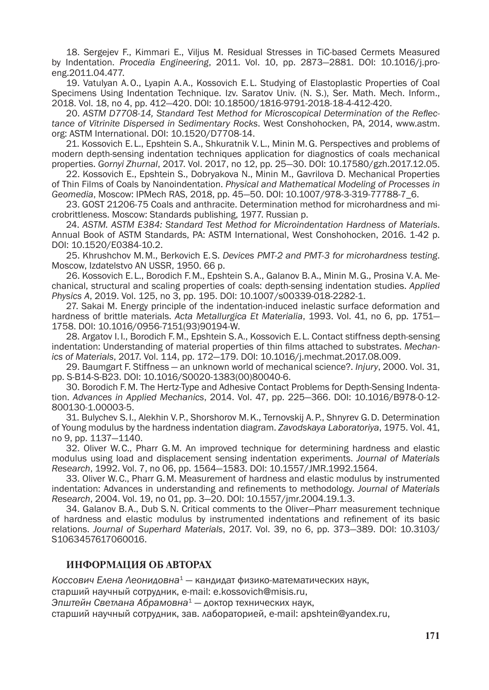18. Sergejev F., Kimmari E., Viljus M. Residual Stresses in TiC-based Cermets Measured by Indentation. *Procedia Engineering*, 2011. Vol. 10, pp. 2873—2881. DOI: 10.1016/j.proeng.2011.04.477.

19. Vatulyan A.O., Lyapin A.A., Kossovich E. L. Studying of Elastoplastic Properties of Coal Specimens Using Indentation Technique. Izv. Saratov Univ. (N. S.), Ser. Math. Mech. Inform., 2018. Vol. 18, no 4, pp. 412—420. DOI: 10.18500/1816-9791-2018-18-4-412-420.

20. *ASTM D7708-14, Standard Test Method for Microscopical Determination of the Reflectance of Vitrinite Dispersed in Sedimentary Rocks*. West Conshohocken, PA, 2014, www.astm. org: ASTM International. DOI: 10.1520/D7708-14.

21. Kossovich E. L., Epshtein S.A., Shkuratnik V. L., Minin M.G. Perspectives and problems of modern depth-sensing indentation techniques application for diagnostics of coals mechanical properties. *Gornyi Zhurnal*, 2017. Vol. 2017, no 12, pp. 25—30. DOI: 10.17580/gzh.2017.12.05.

22. Kossovich E., Epshtein S., Dobryakova N., Minin M., Gavrilova D. Mechanical Properties of Thin Films of Coals by Nanoindentation. *Physical and Mathematical Modeling of Processes in Geomedia*, Moscow: IPMech RAS, 2018, pp. 45—50. DOI: 10.1007/978-3-319-77788-7\_6.

23. GOST 21206-75 Coals and anthracite. Determination method for microhardness and microbrittleness. Moscow: Standards publishing, 1977. Russian p.

24. *ASTM. ASTM E384: Standard Test Method for Microindentation Hardness of Materials*. Annual Book of ASTM Standards, PA: ASTM International, West Conshohocken, 2016. 1-42 p. DOI: 10.1520/E0384-10.2.

25. Khrushchov M.M., Berkovich E.S. *Devices PMT-2 and PMT-3 for microhardness testing*. Moscow, Izdatelstvo AN USSR, 1950. 66 p.

26. Kossovich E. L., Borodich F.M., Epshtein S.A., Galanov B.A., Minin M.G., Prosina V.A. Mechanical, structural and scaling properties of coals: depth-sensing indentation studies. *Applied Physics A*, 2019. Vol. 125, no 3, pp. 195. DOI: 10.1007/s00339-018-2282-1.

27. Sakai M. Energy principle of the indentation-induced inelastic surface deformation and hardness of brittle materials. *Acta Metallurgica Et Materialia*, 1993. Vol. 41, no 6, pp. 1751— 1758. DOI: 10.1016/0956-7151(93)90194-W.

28. Argatov I.I., Borodich F.M., Epshtein S.A., Kossovich E. L. Contact stiffness depth-sensing indentation: Understanding of material properties of thin films attached to substrates. *Mechanics of Materials*, 2017. Vol. 114, pp. 172—179. DOI: 10.1016/j.mechmat.2017.08.009.

29. Baumgart F. Stiffness — an unknown world of mechanical science?. *Injury*, 2000. Vol. 31, pp. S-B14-S-B23. DOI: 10.1016/S0020-1383(00)80040-6.

30. Borodich F.M. The Hertz-Type and Adhesive Contact Problems for Depth-Sensing Indentation. *Advances in Applied Mechanics*, 2014. Vol. 47, pp. 225—366. DOI: 10.1016/B978-0-12- 800130-1.00003-5.

31. Bulychev S. I., Alekhin V.P., Shorshorov M.K., Ternovskij A.P., Shnyrev G.D. Determination of Young modulus by the hardness indentation diagram. *Zavodskaya Laboratoriya*, 1975. Vol. 41, no 9, pp. 1137—1140.

32. Oliver W.C., Pharr G.M. An improved technique for determining hardness and elastic modulus using load and displacement sensing indentation experiments. *Journal of Materials Research*, 1992. Vol. 7, no 06, pp. 1564—1583. DOI: 10.1557/JMR.1992.1564.

33. Oliver W.C., Pharr G.M. Measurement of hardness and elastic modulus by instrumented indentation: Advances in understanding and refinements to methodology. *Journal of Materials Research*, 2004. Vol. 19, no 01, pp. 3—20. DOI: 10.1557/jmr.2004.19.1.3.

34. Galanov B.A., Dub S.N. Critical comments to the Oliver—Pharr measurement technique of hardness and elastic modulus by instrumented indentations and refinement of its basic relations. *Journal of Superhard Materials*, 2017. Vol. 39, no 6, pp. 373—389. DOI: 10.3103/ S1063457617060016.

## **ИНФОРМАЦИЯ ОБ АВТОРАХ**

*Коссович Елена Леонидовна*<sup>1</sup> — кандидат физико-математических наук,

старший научный сотрудник, e-mail: e.kossovich@misis.ru,

*Эпштейн Светлана Абрамовна*<sup>1</sup> — доктор технических наук,

старший научный сотрудник, зав. лабораторией, e-mail: apshtein@yandex.ru,